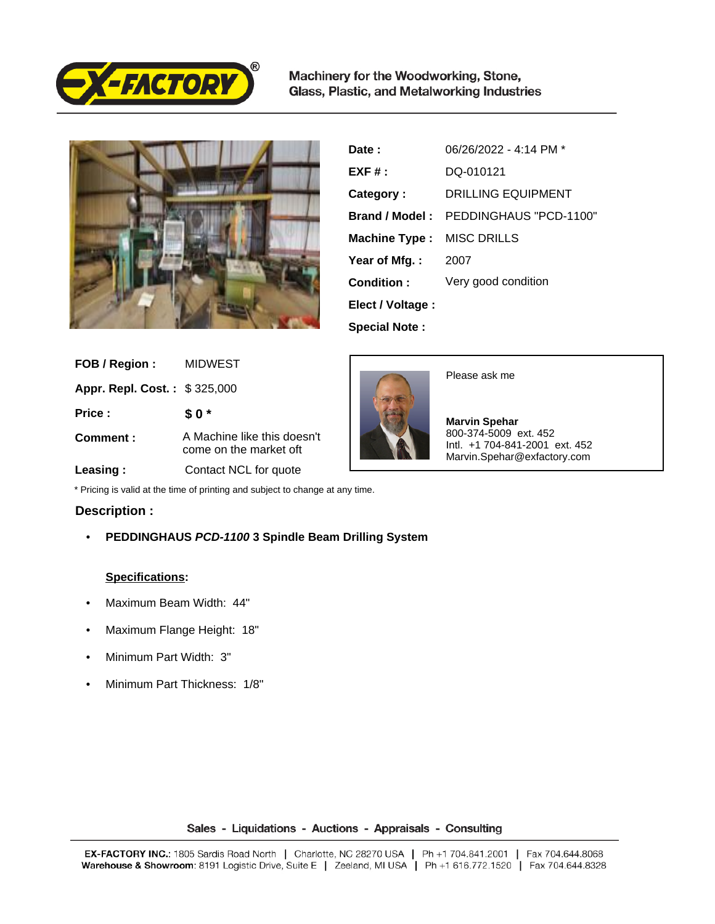

Machinery for the Woodworking, Stone, Glass, Plastic, and Metalworking Industries



| Date :               | 06/26/2022 - 4:14 PM * |
|----------------------|------------------------|
| $EXF#$ :             | DQ-010121              |
| Category:            | DRILLING EQUIPMENT     |
| Brand / Model:       | PEDDINGHAUS "PCD-1100" |
| <b>Machine Type:</b> | <b>MISC DRILLS</b>     |
| Year of Mfg.:        | 2007                   |
| Condition:           | Very good condition    |
| Elect / Voltage :    |                        |
| <b>Special Note:</b> |                        |

| FOB / Region:                       | <b>MIDWEST</b>                                        |
|-------------------------------------|-------------------------------------------------------|
| <b>Appr. Repl. Cost.: \$325,000</b> |                                                       |
| Price:                              | \$0*                                                  |
| Comment:                            | A Machine like this doesn't<br>come on the market off |
| Leasing:                            | Contact NCL for quote                                 |





 **Marvin Spehar** 800-374-5009 ext. 452 Intl. +1 704-841-2001 ext. 452 Marvin.Spehar@exfactory.com

\* Pricing is valid at the time of printing and subject to change at any time.

## **Description :**

• **PEDDINGHAUS PCD-1100 3 Spindle Beam Drilling System**

## **Specifications:**

- Maximum Beam Width: 44"
- Maximum Flange Height: 18"
- Minimum Part Width: 3"
- Minimum Part Thickness: 1/8"

Sales - Liquidations - Auctions - Appraisals - Consulting